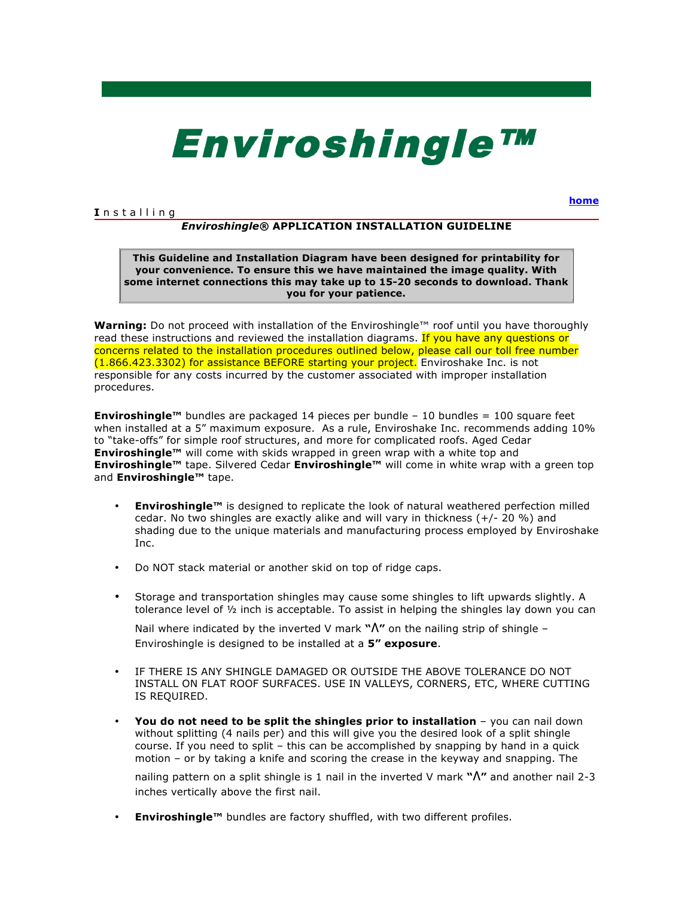# **EnviroshingleTM**

# **I** n s t a l l i n g

**home**

# *Enviroshingle®* **APPLICATION INSTALLATION GUIDELINE**

**This Guideline and Installation Diagram have been designed for printability for your convenience. To ensure this we have maintained the image quality. With some internet connections this may take up to 15-20 seconds to download. Thank you for your patience.**

**Warning:** Do not proceed with installation of the Enviroshingle™ roof until you have thoroughly read these instructions and reviewed the installation diagrams. If you have any questions or concerns related to the installation procedures outlined below, please call our toll free number (1.866.423.3302) for assistance BEFORE starting your project. Enviroshake Inc. is not responsible for any costs incurred by the customer associated with improper installation procedures.

**Enviroshingle™** bundles are packaged 14 pieces per bundle – 10 bundles = 100 square feet when installed at a 5" maximum exposure. As a rule, Enviroshake Inc. recommends adding 10% to "take-offs" for simple roof structures, and more for complicated roofs. Aged Cedar **Enviroshingle™** will come with skids wrapped in green wrap with a white top and **Enviroshingle™** tape. Silvered Cedar **Enviroshingle™** will come in white wrap with a green top and **Enviroshingle™** tape.

- **Enviroshingle™** is designed to replicate the look of natural weathered perfection milled cedar. No two shingles are exactly alike and will vary in thickness  $(+/- 20\%)$  and shading due to the unique materials and manufacturing process employed by Enviroshake Inc.
- Do NOT stack material or another skid on top of ridge caps.
- Storage and transportation shingles may cause some shingles to lift upwards slightly. A tolerance level of  $\frac{1}{2}$  inch is acceptable. To assist in helping the shingles lay down you can

Nail where indicated by the inverted V mark **"∧"** on the nailing strip of shingle – Enviroshingle is designed to be installed at a **5" exposure**.

- IF THERE IS ANY SHINGLE DAMAGED OR OUTSIDE THE ABOVE TOLERANCE DO NOT INSTALL ON FLAT ROOF SURFACES. USE IN VALLEYS, CORNERS, ETC, WHERE CUTTING IS REQUIRED.
- **You do not need to be split the shingles prior to installation** you can nail down without splitting (4 nails per) and this will give you the desired look of a split shingle course. If you need to split – this can be accomplished by snapping by hand in a quick motion – or by taking a knife and scoring the crease in the keyway and snapping. The

nailing pattern on a split shingle is 1 nail in the inverted V mark **"∧"** and another nail 2-3 inches vertically above the first nail.

• **Enviroshingle™** bundles are factory shuffled, with two different profiles.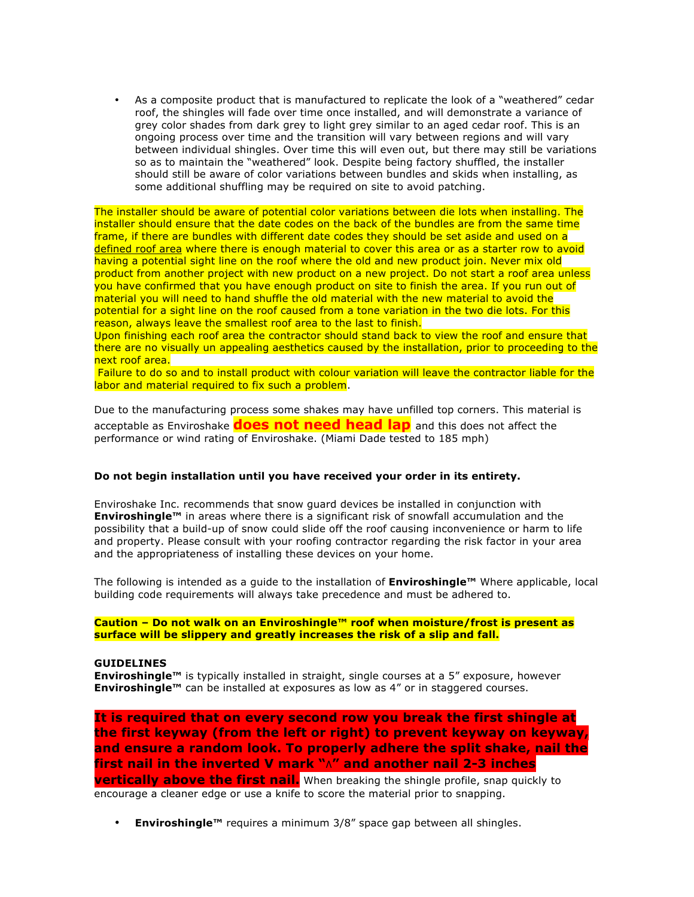• As a composite product that is manufactured to replicate the look of a "weathered" cedar roof, the shingles will fade over time once installed, and will demonstrate a variance of grey color shades from dark grey to light grey similar to an aged cedar roof. This is an ongoing process over time and the transition will vary between regions and will vary between individual shingles. Over time this will even out, but there may still be variations so as to maintain the "weathered" look. Despite being factory shuffled, the installer should still be aware of color variations between bundles and skids when installing, as some additional shuffling may be required on site to avoid patching.

The installer should be aware of potential color variations between die lots when installing. The installer should ensure that the date codes on the back of the bundles are from the same time frame, if there are bundles with different date codes they should be set aside and used on a defined roof area where there is enough material to cover this area or as a starter row to avoid having a potential sight line on the roof where the old and new product join. Never mix old product from another project with new product on a new project. Do not start a roof area unless you have confirmed that you have enough product on site to finish the area. If you run out of material you will need to hand shuffle the old material with the new material to avoid the potential for a sight line on the roof caused from a tone variation in the two die lots. For this reason, always leave the smallest roof area to the last to finish.

Upon finishing each roof area the contractor should stand back to view the roof and ensure that there are no visually un appealing aesthetics caused by the installation, prior to proceeding to the next roof area.

Failure to do so and to install product with colour variation will leave the contractor liable for the labor and material required to fix such a problem.

Due to the manufacturing process some shakes may have unfilled top corners. This material is acceptable as Enviroshake **does not need head lap** and this does not affect the performance or wind rating of Enviroshake. (Miami Dade tested to 185 mph)

# **Do not begin installation until you have received your order in its entirety.**

Enviroshake Inc. recommends that snow guard devices be installed in conjunction with **Enviroshingle™** in areas where there is a significant risk of snowfall accumulation and the possibility that a build-up of snow could slide off the roof causing inconvenience or harm to life and property. Please consult with your roofing contractor regarding the risk factor in your area and the appropriateness of installing these devices on your home.

The following is intended as a guide to the installation of **Enviroshingle™** Where applicable, local building code requirements will always take precedence and must be adhered to.

## **Caution – Do not walk on an Enviroshingle™ roof when moisture/frost is present as surface will be slippery and greatly increases the risk of a slip and fall.**

#### **GUIDELINES**

**Enviroshingle™** is typically installed in straight, single courses at a 5" exposure, however **Enviroshingle™** can be installed at exposures as low as 4" or in staggered courses.

**It is required that on every second row you break the first shingle at the first keyway (from the left or right) to prevent keyway on keyway, and ensure a random look. To properly adhere the split shake, nail the first nail in the inverted V mark "∧" and another nail 2-3 inches vertically above the first nail.** When breaking the shingle profile, snap quickly to encourage a cleaner edge or use a knife to score the material prior to snapping.

• **Enviroshingle™** requires a minimum 3/8" space gap between all shingles.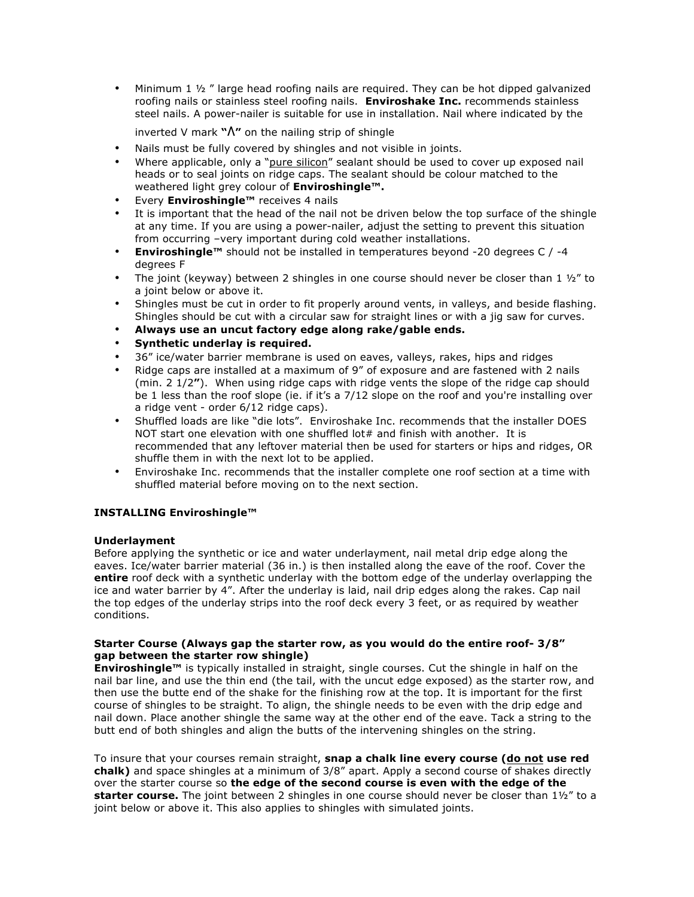• Minimum 1  $\frac{1}{2}$  " large head roofing nails are required. They can be hot dipped galvanized roofing nails or stainless steel roofing nails. **Enviroshake Inc.** recommends stainless steel nails. A power-nailer is suitable for use in installation. Nail where indicated by the

inverted V mark **"∧"** on the nailing strip of shingle

- Nails must be fully covered by shingles and not visible in joints.
- Where applicable, only a "pure silicon" sealant should be used to cover up exposed nail heads or to seal joints on ridge caps. The sealant should be colour matched to the weathered light grey colour of **Enviroshingle™.**
- Every **Enviroshingle™** receives 4 nails
- It is important that the head of the nail not be driven below the top surface of the shingle at any time. If you are using a power-nailer, adjust the setting to prevent this situation from occurring –very important during cold weather installations.
- **Enviroshingle™** should not be installed in temperatures beyond -20 degrees C / -4 degrees F
- The joint (keyway) between 2 shingles in one course should never be closer than 1  $\frac{1}{2}$  to a joint below or above it.
- Shingles must be cut in order to fit properly around vents, in valleys, and beside flashing. Shingles should be cut with a circular saw for straight lines or with a jig saw for curves.
- **Always use an uncut factory edge along rake/gable ends.**
- **Synthetic underlay is required.**
- 36" ice/water barrier membrane is used on eaves, valleys, rakes, hips and ridges
- Ridge caps are installed at a maximum of 9" of exposure and are fastened with 2 nails (min. 2 1/2**"**). When using ridge caps with ridge vents the slope of the ridge cap should be 1 less than the roof slope (ie. if it's a 7/12 slope on the roof and you're installing over a ridge vent - order 6/12 ridge caps).
- Shuffled loads are like "die lots". Enviroshake Inc. recommends that the installer DOES NOT start one elevation with one shuffled lot# and finish with another. It is recommended that any leftover material then be used for starters or hips and ridges, OR shuffle them in with the next lot to be applied.
- Enviroshake Inc. recommends that the installer complete one roof section at a time with shuffled material before moving on to the next section.

# **INSTALLING Enviroshingle™**

### **Underlayment**

Before applying the synthetic or ice and water underlayment, nail metal drip edge along the eaves. Ice/water barrier material (36 in.) is then installed along the eave of the roof. Cover the **entire** roof deck with a synthetic underlay with the bottom edge of the underlay overlapping the ice and water barrier by 4". After the underlay is laid, nail drip edges along the rakes. Cap nail the top edges of the underlay strips into the roof deck every 3 feet, or as required by weather conditions.

## **Starter Course (Always gap the starter row, as you would do the entire roof- 3/8" gap between the starter row shingle)**

**Enviroshingle™** is typically installed in straight, single courses. Cut the shingle in half on the nail bar line, and use the thin end (the tail, with the uncut edge exposed) as the starter row, and then use the butte end of the shake for the finishing row at the top. It is important for the first course of shingles to be straight. To align, the shingle needs to be even with the drip edge and nail down. Place another shingle the same way at the other end of the eave. Tack a string to the butt end of both shingles and align the butts of the intervening shingles on the string.

To insure that your courses remain straight, **snap a chalk line every course (do not use red chalk)** and space shingles at a minimum of 3/8" apart. Apply a second course of shakes directly over the starter course so **the edge of the second course is even with the edge of the starter course.** The joint between 2 shingles in one course should never be closer than 1½" to a joint below or above it. This also applies to shingles with simulated joints.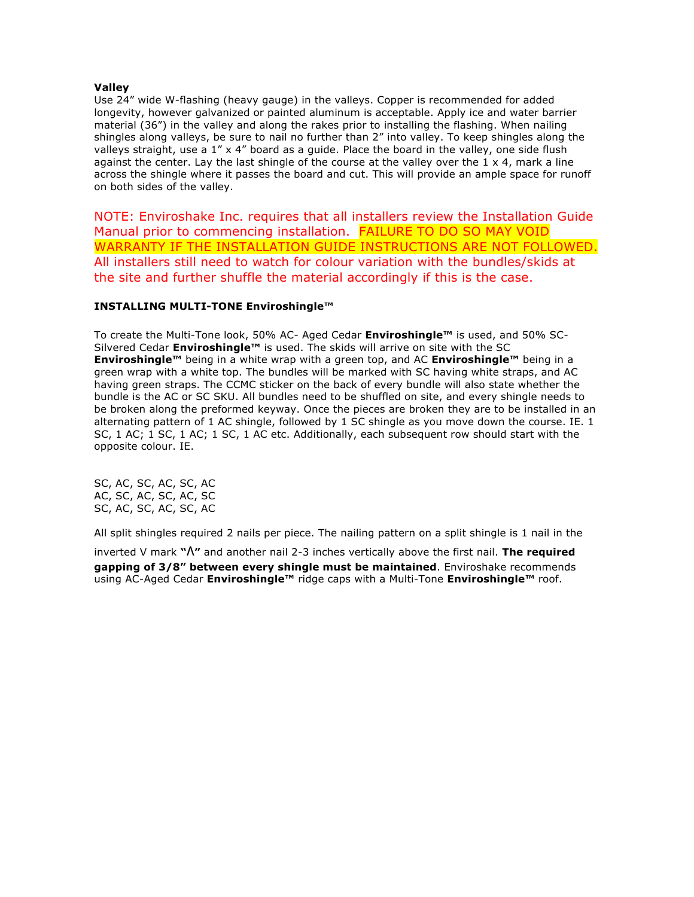## **Valley**

Use 24" wide W-flashing (heavy gauge) in the valleys. Copper is recommended for added longevity, however galvanized or painted aluminum is acceptable. Apply ice and water barrier material (36") in the valley and along the rakes prior to installing the flashing. When nailing shingles along valleys, be sure to nail no further than 2" into valley. To keep shingles along the valleys straight, use a 1" x 4" board as a guide. Place the board in the valley, one side flush against the center. Lay the last shingle of the course at the valley over the  $1 \times 4$ , mark a line across the shingle where it passes the board and cut. This will provide an ample space for runoff on both sides of the valley.

NOTE: Enviroshake Inc. requires that all installers review the Installation Guide Manual prior to commencing installation. FAILURE TO DO SO MAY VOID WARRANTY IF THE INSTALLATION GUIDE INSTRUCTIONS ARE NOT FOLLOWED. All installers still need to watch for colour variation with the bundles/skids at the site and further shuffle the material accordingly if this is the case.

# **INSTALLING MULTI-TONE Enviroshingle™**

To create the Multi-Tone look, 50% AC- Aged Cedar **Enviroshingle™** is used, and 50% SC-Silvered Cedar **Enviroshingle™** is used. The skids will arrive on site with the SC **Enviroshingle™** being in a white wrap with a green top, and AC **Enviroshingle™** being in a green wrap with a white top. The bundles will be marked with SC having white straps, and AC having green straps. The CCMC sticker on the back of every bundle will also state whether the bundle is the AC or SC SKU. All bundles need to be shuffled on site, and every shingle needs to be broken along the preformed keyway. Once the pieces are broken they are to be installed in an alternating pattern of 1 AC shingle, followed by 1 SC shingle as you move down the course. IE. 1 SC, 1 AC; 1 SC, 1 AC; 1 SC, 1 AC etc. Additionally, each subsequent row should start with the opposite colour. IE.

SC, AC, SC, AC, SC, AC AC, SC, AC, SC, AC, SC SC, AC, SC, AC, SC, AC

All split shingles required 2 nails per piece. The nailing pattern on a split shingle is 1 nail in the

inverted V mark **"∧"** and another nail 2-3 inches vertically above the first nail. **The required gapping of 3/8" between every shingle must be maintained**. Enviroshake recommends using AC-Aged Cedar **Enviroshingle™** ridge caps with a Multi-Tone **Enviroshingle™** roof.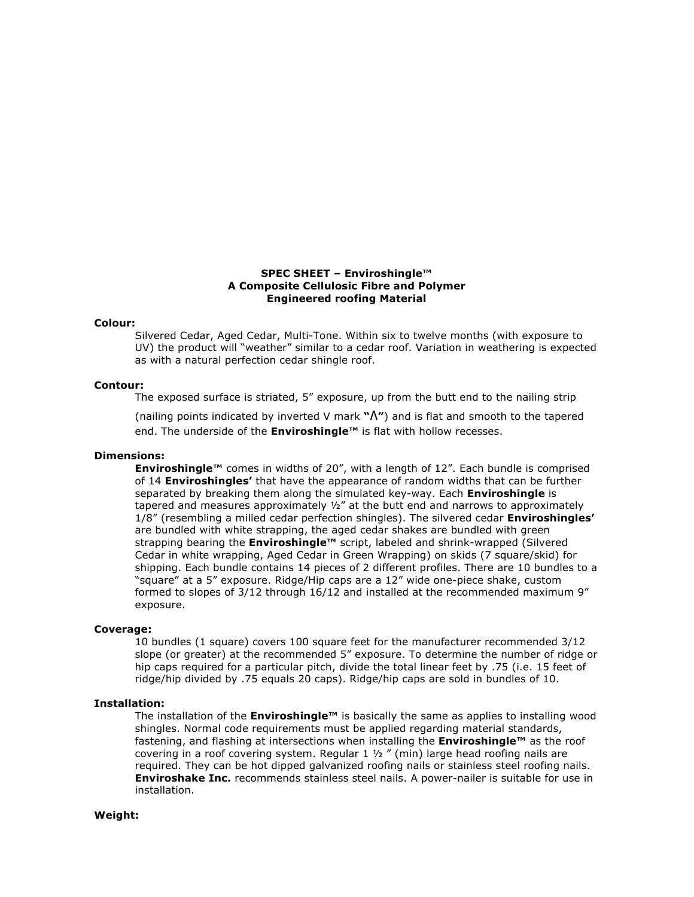### **SPEC SHEET – Enviroshingle™ A Composite Cellulosic Fibre and Polymer Engineered roofing Material**

#### **Colour:**

Silvered Cedar, Aged Cedar, Multi-Tone. Within six to twelve months (with exposure to UV) the product will "weather" similar to a cedar roof. Variation in weathering is expected as with a natural perfection cedar shingle roof.

#### **Contour:**

The exposed surface is striated, 5" exposure, up from the butt end to the nailing strip

(nailing points indicated by inverted V mark **"∧"**) and is flat and smooth to the tapered end. The underside of the **Enviroshingle™** is flat with hollow recesses.

# **Dimensions:**

**Enviroshingle™** comes in widths of 20", with a length of 12". Each bundle is comprised of 14 **Enviroshingles'** that have the appearance of random widths that can be further separated by breaking them along the simulated key-way. Each **Enviroshingle** is tapered and measures approximately  $1/2$ " at the butt end and narrows to approximately 1/8" (resembling a milled cedar perfection shingles). The silvered cedar **Enviroshingles'**  are bundled with white strapping, the aged cedar shakes are bundled with green strapping bearing the **Enviroshingle™** script, labeled and shrink-wrapped (Silvered Cedar in white wrapping, Aged Cedar in Green Wrapping) on skids (7 square/skid) for shipping. Each bundle contains 14 pieces of 2 different profiles. There are 10 bundles to a "square" at a 5" exposure. Ridge/Hip caps are a 12" wide one-piece shake, custom formed to slopes of 3/12 through 16/12 and installed at the recommended maximum 9" exposure.

#### **Coverage:**

10 bundles (1 square) covers 100 square feet for the manufacturer recommended 3/12 slope (or greater) at the recommended 5" exposure. To determine the number of ridge or hip caps required for a particular pitch, divide the total linear feet by .75 (i.e. 15 feet of ridge/hip divided by .75 equals 20 caps). Ridge/hip caps are sold in bundles of 10.

## **Installation:**

The installation of the **Enviroshingle™** is basically the same as applies to installing wood shingles. Normal code requirements must be applied regarding material standards, fastening, and flashing at intersections when installing the **Enviroshingle™** as the roof covering in a roof covering system. Regular 1 ½ " (min) large head roofing nails are required. They can be hot dipped galvanized roofing nails or stainless steel roofing nails. **Enviroshake Inc.** recommends stainless steel nails. A power-nailer is suitable for use in installation.

#### **Weight:**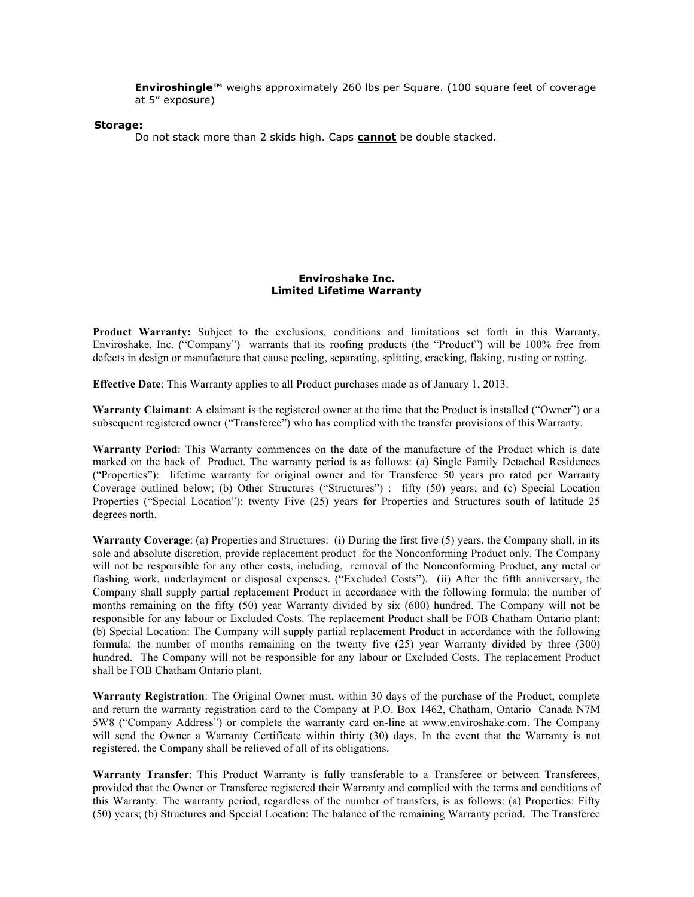**Enviroshingle™** weighs approximately 260 lbs per Square. (100 square feet of coverage at 5" exposure)

#### **Storage:**

Do not stack more than 2 skids high. Caps **cannot** be double stacked.

## **Enviroshake Inc. Limited Lifetime Warranty**

**Product Warranty:** Subject to the exclusions, conditions and limitations set forth in this Warranty, Enviroshake, Inc. ("Company") warrants that its roofing products (the "Product") will be 100% free from defects in design or manufacture that cause peeling, separating, splitting, cracking, flaking, rusting or rotting.

**Effective Date**: This Warranty applies to all Product purchases made as of January 1, 2013.

**Warranty Claimant**: A claimant is the registered owner at the time that the Product is installed ("Owner") or a subsequent registered owner ("Transferee") who has complied with the transfer provisions of this Warranty.

**Warranty Period**: This Warranty commences on the date of the manufacture of the Product which is date marked on the back of Product. The warranty period is as follows: (a) Single Family Detached Residences ("Properties"): lifetime warranty for original owner and for Transferee 50 years pro rated per Warranty Coverage outlined below; (b) Other Structures ("Structures") : fifty (50) years; and (c) Special Location Properties ("Special Location"): twenty Five (25) years for Properties and Structures south of latitude 25 degrees north.

**Warranty Coverage**: (a) Properties and Structures: (i) During the first five (5) years, the Company shall, in its sole and absolute discretion, provide replacement product for the Nonconforming Product only. The Company will not be responsible for any other costs, including, removal of the Nonconforming Product, any metal or flashing work, underlayment or disposal expenses. ("Excluded Costs"). (ii) After the fifth anniversary, the Company shall supply partial replacement Product in accordance with the following formula: the number of months remaining on the fifty (50) year Warranty divided by six (600) hundred. The Company will not be responsible for any labour or Excluded Costs. The replacement Product shall be FOB Chatham Ontario plant; (b) Special Location: The Company will supply partial replacement Product in accordance with the following formula: the number of months remaining on the twenty five (25) year Warranty divided by three (300) hundred. The Company will not be responsible for any labour or Excluded Costs. The replacement Product shall be FOB Chatham Ontario plant.

**Warranty Registration**: The Original Owner must, within 30 days of the purchase of the Product, complete and return the warranty registration card to the Company at P.O. Box 1462, Chatham, Ontario Canada N7M 5W8 ("Company Address") or complete the warranty card on-line at www.enviroshake.com. The Company will send the Owner a Warranty Certificate within thirty (30) days. In the event that the Warranty is not registered, the Company shall be relieved of all of its obligations.

**Warranty Transfer**: This Product Warranty is fully transferable to a Transferee or between Transferees, provided that the Owner or Transferee registered their Warranty and complied with the terms and conditions of this Warranty. The warranty period, regardless of the number of transfers, is as follows: (a) Properties: Fifty (50) years; (b) Structures and Special Location: The balance of the remaining Warranty period. The Transferee